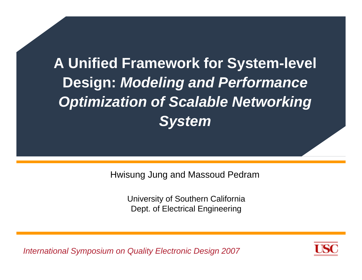# **A Unified Framework for System-level Design:** *Modeling and Performance Optimization of Scalable Networking System*

Hwisung Jung and Massoud Pedram

University of Southern California Dept. of Electrical Engineering

*International Symposium on Quality Electronic Design 2007*

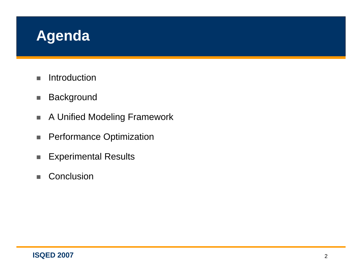#### **Agenda**

- $\blacksquare$ Introduction
- $\overline{\phantom{a}}$ **Background**
- $\mathbf{r}$ A Unified Modeling Framework
- $\overline{\phantom{a}}$ Performance Optimization
- $\overline{\phantom{a}}$ Experimental Results
- $\blacksquare$ **Conclusion**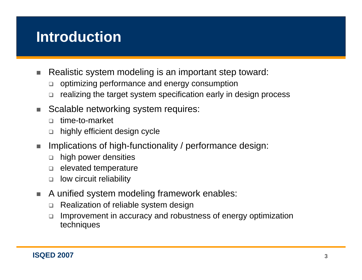#### **Introduction**

- ш Realistic system modeling is an important step toward:
	- $\Box$ optimizing performance and energy consumption
	- $\Box$ realizing the target system specification early in design process
- п Scalable networking system requires:
	- $\Box$ time-to-market
	- $\Box$ highly efficient design cycle
- $\mathcal{L}_{\mathcal{A}}$  Implications of high-functionality / performance design:
	- $\Box$ high power densities
	- $\Box$ elevated temperature
	- $\Box$ low circuit reliability
- ٠ A unified system modeling framework enables:
	- $\Box$ Realization of reliable system design
	- $\Box$  Improvement in accuracy and robustness of energy optimization techniques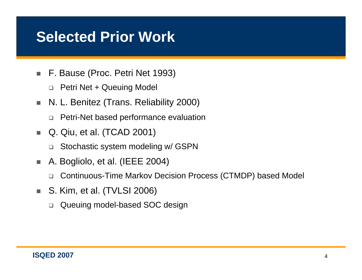#### **Selected Prior Work**

- $\overline{\phantom{a}}$  F. Bause (Proc. Petri Net 1993)
	- □ Petri Net + Queuing Model
- $\mathcal{L}_{\mathcal{A}}$  N. L. Benitez (Trans. Reliability 2000)
	- Petri-Net based performance evaluation
- п. Q. Qiu, et al. (TCAD 2001)
	- $\Box$ Stochastic system modeling w/ GSPN
- $\mathcal{L}_{\mathcal{A}}$  A. Bogliolo, et al. (IEEE 2004)
	- $\Box$ Continuous-Time Markov Decision Process (CTMDP) based Model
- $\mathcal{L}_{\mathcal{A}}$  S. Kim, et al. (TVLSI 2006)
	- $\Box$ Queuing model-based SOC design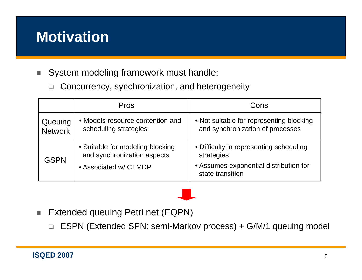#### **Motivation**

■ System modeling framework must handle:

 $\Box$ Concurrency, synchronization, and heterogeneity

|                           | <b>Pros</b>                                                                              | Cons                                                                                                                |  |  |  |
|---------------------------|------------------------------------------------------------------------------------------|---------------------------------------------------------------------------------------------------------------------|--|--|--|
| Queuing<br><b>Network</b> | • Models resource contention and<br>scheduling strategies                                | • Not suitable for representing blocking<br>and synchronization of processes                                        |  |  |  |
| <b>GSPN</b>               | • Suitable for modeling blocking<br>and synchronization aspects<br>• Associated w/ CTMDP | • Difficulty in representing scheduling<br>strategies<br>• Assumes exponential distribution for<br>state transition |  |  |  |

- $\mathcal{L}_{\mathcal{A}}$  Extended queuing Petri net (EQPN)
	- □ ESPN (Extended SPN: semi-Markov process) + G/M/1 queuing model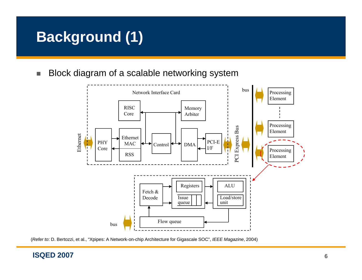#### **Background (1)**

п Block diagram of a scalable networking system



(*Refer to*: D. Bertozzi, et al., "Xpipes: A Network-on-chip Architecture for Gigascale SOC", *IEEE Magazine*, 2004)

#### **ISQED 2007**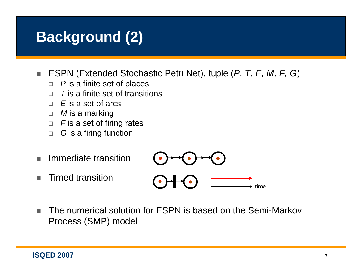#### **Background (2)**

- $\mathcal{L}_{\mathcal{A}}$  ESPN (Extended Stochastic Petri Net), tuple (*P, T, E, M, F, G*)
	- *P* is a finite set of places
	- $\Box$ *T* is a finite set of transitions
	- $\Box$ *E* is a set of arcs
	- *M* is a marking
	- $\Box\ \ \ F$  is a set of firing rates
	- $\Box$ *G* is a firing function
- п Immediate transition
- п Timed transition



٠ The numerical solution for ESPN is based on the Semi-Markov Process (SMP) model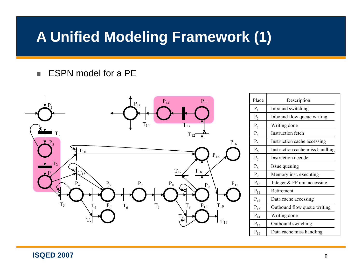#### **A Unified Modeling Framework (1)**

#### ٠ ESPN model for a PE



| Place             | Description                     |  |  |  |  |  |
|-------------------|---------------------------------|--|--|--|--|--|
| $P_1$             | Inbound switching               |  |  |  |  |  |
| $P_2$             | Inbound flow queue writing      |  |  |  |  |  |
| $P_3$             | Writing done                    |  |  |  |  |  |
| $P_4$             | <b>Instruction fetch</b>        |  |  |  |  |  |
| $P_5$             | Instruction cache accessing     |  |  |  |  |  |
| $P_6$             | Instruction cache miss handling |  |  |  |  |  |
| $P_7$             | Instruction decode              |  |  |  |  |  |
| $P_8$             | Issue queuing                   |  |  |  |  |  |
| $P_9$             | Memory inst. executing          |  |  |  |  |  |
| $\mathbf{P}_{10}$ | Integer & FP unit accessing     |  |  |  |  |  |
| $P_{11}$          | Retirement                      |  |  |  |  |  |
| $P_{12}$          | Data cache accessing            |  |  |  |  |  |
| $P_{13}$          | Outbound flow queue writing     |  |  |  |  |  |
| $P_{14}$          | Writing done                    |  |  |  |  |  |
| $P_{15}$          | Outbound switching              |  |  |  |  |  |
| $P_{16}$          | Data cache miss handling        |  |  |  |  |  |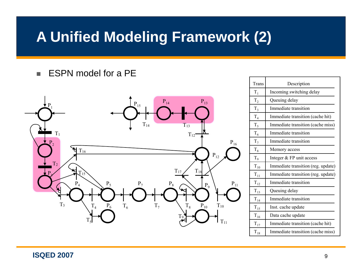#### **A Unified Modeling Framework (2)**

٠ ESPN model for a PE



| Trans          | Description                        |
|----------------|------------------------------------|
| $T_1$          | Incoming switching delay           |
| $\rm T_2$      | Queuing delay                      |
| $\rm T_3$      | Immediate transition               |
| $\rm T_4$      | Immediate transition (cache hit)   |
| $\mathrm{T}_5$ | Immediate transition (cache miss)  |
| $T_6$          | Immediate transition               |
| $T_7$          | Immediate transition               |
| $\rm T_8$      | Memory access                      |
| $T_9$          | Integer & FP unit access           |
| $\rm T_{10}$   | Immediate transition (reg. update) |
| $\rm T_{11}$   | Immediate transition (reg. update) |
| $T_{12}$       | Immediate transition               |
| $T_{13}$       | Queuing delay                      |
| $T_{14}$       | Immediate transition               |
| $T_{15}$       | Inst. cache update                 |
| $T_{16}$       | Data cache update                  |
| $T_{17}$       | Immediate transition (cache hit)   |
| $\rm T_{18}$   | Immediate transition (cache miss)  |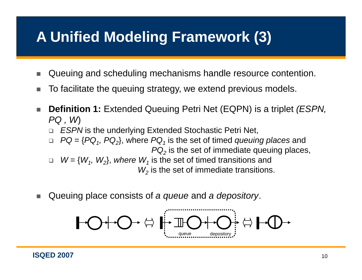## **A Unified Modeling Framework (3)**

- × Queuing and scheduling mechanisms handle resource contention.
- п  $\blacksquare$  To facilitate the queuing strategy, we extend previous models.
- п **Definition 1:** Extended Queuing Petri Net (EQPN) is a triplet *(ESPN, PQ , W*)
	- *ESPN* is the underlying Extended Stochastic Petri Net,
	- $\Box$ □  $PQ = {PQ_1, PQ_2}$ , where  $PQ_1$  is the set of timed *queuing places* and *PQ 2* is the set of immediate queuing places,
	- $\Box$  $W = \{W_1, W_2\}$ , where  $W_1$  is the set of timed transitions and  $\mathcal{W}_2$  is the set of immediate transitions.
- × ■ Queuing place consists of *a queue* and *a depository*.

$$
\begin{array}{|c|c|c|c|c|}\hline \textbf{O} & \textbf{O} & \textbf{O} & \textbf{O} & \textbf{O} & \textbf{O} & \textbf{O} & \textbf{O} \\\hline \textbf{O} & \textbf{O} & \textbf{O} & \textbf{O} & \textbf{O} & \textbf{O} & \textbf{O} & \textbf{O} & \textbf{O} & \textbf{O} & \textbf{O} & \textbf{O} & \textbf{O} \\\hline \textbf{O} & \textbf{O} & \textbf{O} & \textbf{O} & \textbf{O} & \textbf{O} & \textbf{O} & \textbf{O} & \textbf{O} & \textbf{O} & \textbf{O} & \textbf{O} & \textbf{O} & \textbf{O} & \textbf{O} & \textbf{O} & \textbf{O} & \textbf{O} & \textbf{O} & \textbf{O} & \textbf{O} & \textbf{O} & \textbf{O} & \textbf{O} & \textbf{O} & \textbf{O} & \textbf{O} & \textbf{O} & \textbf{O} & \textbf{O} & \textbf{O} & \textbf{O} & \textbf{O} & \textbf{O} & \textbf{O} & \textbf{O} & \textbf{O} & \textbf{O} & \textbf{O} & \textbf{O} & \textbf{O} & \textbf{O} & \textbf{O} & \textbf{O} & \textbf{O} & \textbf{O} & \textbf{O} & \textbf{O} & \textbf{O} & \textbf{O} & \textbf{O} & \textbf{O} & \textbf{O} & \textbf{O} & \textbf{O} & \textbf{O} & \textbf{O} & \textbf{O} & \textbf{O} & \textbf{O} & \textbf{O} & \textbf{O} & \textbf{O} & \textbf{O} & \textbf{O} & \textbf{O} & \textbf{O} & \textbf{O} & \textbf{O} & \textbf{O} & \textbf{O} & \textbf{O} & \textbf{O} & \textbf{O} & \textbf{O} & \textbf{O} & \textbf{O} & \textbf{O} & \textbf{O} & \textbf{O} & \textbf{O} & \textbf{O} & \textbf{O} & \textbf{O} &
$$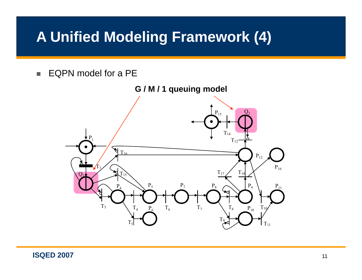#### **A Unified Modeling Framework (4)**

п EQPN model for a PE

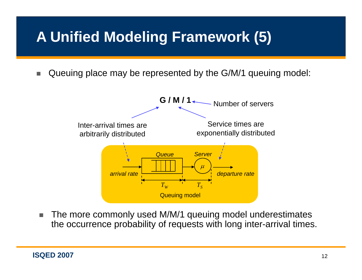## **A Unified Modeling Framework (5)**

п Queuing place may be represented by the G/M/1 queuing model:



п The more commonly used M/M/1 queuing model underestimates the occurrence probability of requests with long inter-arrival times.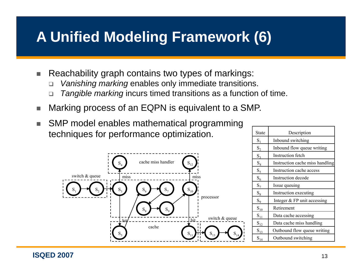#### **A Unified Modeling Framework (6)**

- п Reachability graph contains two types of markings:
	- $\Box$ □ *Vanishing marking* enables only immediate transitions.
	- $\Box$ *Tangible marking* incurs timed transitions as a function of time.
- a. Marking process of an EQPN is equivalent to a SMP.
- ш SMP model enables mathematical programming techniques for performance optimization.



| <b>State</b>   | Description                     |
|----------------|---------------------------------|
| $S_1$          | Inbound switching               |
| $S_2$          | Inbound flow queue writing      |
| $S_3$          | Instruction fetch               |
| $\mathrm{S}_4$ | Instruction cache miss handling |
| $S_5$          | Instruction cache access        |
| $S_6$          | Instruction decode              |
| $S_7$          | Issue queuing                   |
| $S_8$          | Instruction executing           |
| $S_9$          | Integer & FP unit accessing     |
| $S_{10}$       | Retirement                      |
| $S_{11}$       | Data cache accessing            |
| $S_{12}$       | Data cache miss handling        |
| $S_{13}$       | Outbound flow queue writing     |
| $S_{14}$       | Outbound switching              |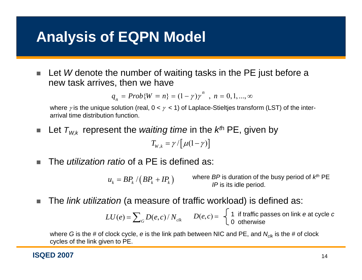#### **Analysis of EQPN Model**

п Let *W* denote the number of waiting tasks in the PE just before a new task arrives, then we have

$$
q_n = Prob{W = n} = (1 - \gamma)\gamma^n
$$
,  $n = 0, 1, ..., \infty$ 

where  $\gamma$  is the unique solution (real, 0 <  $\gamma$  < 1) of Laplace-Stieltjes transform (LST) of the interarrival time distribution function.

 $\mathcal{L}_{\mathcal{A}}$ **E** Let  $T_{W,k}$  represent the *waiting time* in the  $k^\text{th}$  PE, given by

$$
T_{W,k} = \gamma / \big[\mu(1-\gamma)\big]
$$

п The *utilization ratio* of a PE is defined as:

> $u_{\scriptscriptstyle{k}} = BP_{\scriptscriptstyle{k}}$  /  $\left(BP_{\scriptscriptstyle{k}} + IP_{\scriptscriptstyle{k}}\right)$ ) where *BP* is duration of the busy period of  $k^{th}$  PE *IP* is its idle period.

× The *link utilization* (a measure of traffic workload) is defined as:

$$
LU(e) = \sum_{G} D(e, c) / N_{clk}
$$
  $D(e, c) = \begin{cases} 1 & \text{if traffic passes on link } e \text{ at cycle } c \\ 0 & \text{otherwise} \end{cases}$ 

where *G* is the # of clock cycle, *e* is the link path between NIC and PE, and  $N_{\text{\tiny{C/K}}}$  is the # of clock cycles of the link given to PE.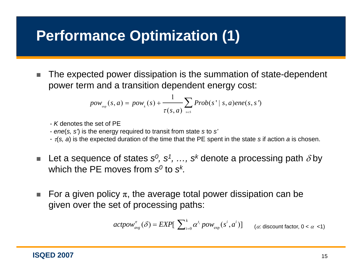## **Performance Optimization (1)**

г The expected power dissipation is the summation of state-dependent power term and <sup>a</sup> transition dependent energy cost:

$$
pow_{\text{exp}}(s, a) = pow_{k}(s) + \frac{1}{\tau(s, a)} \sum_{s \in s} Prob(s' \mid s, a)ene(s, s')
$$

- *K* denotes the set of PE

- *ene*(*s, s'*) is the energy required to transit from state *s* to *s'*

- <sup>τ</sup>(*s, a*) is the expected duration of the time that the PE spent in the state *s* if action *a* is chosen.
- $\mathcal{L}_{\mathcal{A}}$ **• Let a sequence of states**  $s^0$ **,**  $s^1$ **, …,**  $s^k$  **denote a processing path**  $\delta$  **by** which the PE moves from *s0* to *sk.*
- $\mathcal{L}_{\mathcal{A}}$  $\quad \blacksquare \quad$  For a given policy  $\pi,$  the average total power dissipation can be given over the set of processing paths:

$$
actpow_{avg}^{\pi}(\delta) = EXP[\sum_{i=0}^{k} \alpha^{t_i} pow_{exp}(s^i, a^i)] \qquad (\alpha \text{ discount factor, } 0 < \alpha < 1)
$$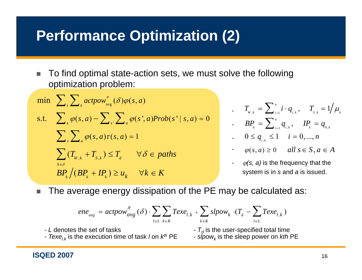#### **Performance Optimization (2)**

× To find optimal state-action sets, we must solve the following optimization problem:

$$
\min \sum_{s} \sum_{a} \underset{\alpha \in \mathcal{S}}{\sum_{s} \sum_{a} \underset{\alpha \in \mathcal{S}}{\sum_{s} \sum_{s} \phi(s, a) - \sum_{s'} \sum_{a} \phi(s', a) Prob(s' | s, a) = 0}} \frac{\sum_{s} \sum_{a} \phi(s, a) - \sum_{s'} \sum_{a} \phi(s, a) r(s, a)}{2} = 1
$$
\n
$$
\sum_{k \in \mathcal{S}} (T_{w,k} + T_{s,k}) \leq T_a \quad \forall \delta \in paths
$$
\n
$$
BP_k \big( BP_k + IP_k) \geq u_k \quad \forall k \in K
$$

$$
T_{_{W,k}} = \sum_{i=1}^{n} i \cdot q_{_{i,k}}, \quad T_{_{S,k}} = 1/\mu_{_{k}}
$$

- 
$$
BP_k = \sum_{i=1}^n q_{i,k}
$$
,  $IP_k = q_{0,k}$ 

$$
0 \le q_{i,k} \le 1 \quad i = 0, ..., n
$$

$$
\qquad \qquad \text{ or } \quad \varphi(s, a) \ge 0 \qquad all \; s \in S, a \in A
$$

- $\varphi$ (s, *a*) is the frequency that the system is in *s* and *a* is issued.
- $\mathcal{L}_{\mathcal{A}}$ The average energy dissipation of the PE may be calculated as:

$$
e e_{avg} = actpow_{avg}^{\pi}(\delta) \cdot \sum_{l \in L} \sum_{k \in K} Texe_{l,k} + \sum_{k \in K} slpow_k \cdot (T_d - \sum_{l \in L} Texe_{l,k})
$$

- *L* denotes the set of task ks -
- *Texe<sub>l.k</sub>* is the execution time of task *I* on  $k^{th}$  PE --
- $\, {\cal T}_{\alpha}$  is the user-specified total time
	- *slpowk* is the sleep power on *kth* PE

#### **ISQED 2007** 16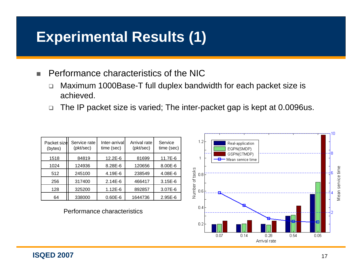#### **Experimental Results (1)**

 $\blacksquare$ Performance characteristics of the NIC

- $\Box$ Maximum 1000Base-T full duplex bandwidth for each packet size is achieved.
- $\Box$ The IP packet size is varied; The inter-packet gap is kept at 0.0096us.

| Packet size<br>(bytes) | Service rate<br>(pkt/sec) | Inter-arrivall<br>time (sec) | Arrival rate<br>(pkt/sec) | Service<br>time (sec) |
|------------------------|---------------------------|------------------------------|---------------------------|-----------------------|
| 1518                   | 84819                     | $12.2E - 6$                  | 81699                     | 11.7E-6               |
| 1024                   | 124936                    | 8.28E-6                      | 120656                    | 8.00E-6               |
| 512                    | 245100                    | 4.19E-6                      | 238549                    | 4.08E-6               |
| 256                    | 317400                    | $2.14E-6$                    | 466417                    | 3.15E-6               |
| 128                    | 325200                    | $1.12E-6$                    | 892857                    | 3.07E-6               |
| 64                     | 338000                    | $0.60E - 6$                  | 1644736                   | $2.95E-6$             |

Performance characteristics

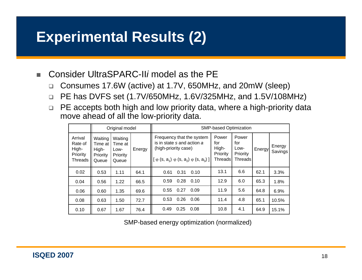#### **Experimental Results (2)**

- $\blacksquare$  Consider UltraSPARC-II*i* model as the PE
	- $\Box$ □ Consumes 17.6W (active) at 1.7V, 650MHz, and 20mW (sleep)
	- $\Box$ PE has DVFS set (1.7V/650MHz, 1.6V/325MHz, and 1.5V/108MHz)
	- $\Box$  PE accepts both high and low priority data, where a high-priority data move ahead of all the low-priority data.

|                                                    | Original model                                          |                                                 |        | SMP-based Optimization                                                                                                                      |                                                      |                                                          |        |                   |
|----------------------------------------------------|---------------------------------------------------------|-------------------------------------------------|--------|---------------------------------------------------------------------------------------------------------------------------------------------|------------------------------------------------------|----------------------------------------------------------|--------|-------------------|
| Arrival<br>Rate of<br>High-<br>Priority<br>Threads | Waiting<br>Time at<br>High-<br><b>Priority</b><br>Queue | Waiting<br>Time at<br>Low-<br>Priority<br>Queue | Energy | Frequency that the system<br>is in state s and action a<br>(high-priority case)<br>$[ \varphi (s, a_1) \varphi (s, a_2) \varphi (s, a_3) ]$ | Power<br>for<br>High-<br><b>Priority</b><br>Threadsl | Power<br>for<br>Low-<br>Priority<br>Threads <sup>1</sup> | Energy | Energy<br>Savings |
| 0.02                                               | 0.53                                                    | 1.11                                            | 64.1   | 0.61<br>0.31<br>0.10                                                                                                                        | 13.1                                                 | 6.6                                                      | 62.1   | 3.3%              |
| 0.04                                               | 0.56                                                    | 1.22                                            | 66.5   | 0.59<br>0.28<br>0.10                                                                                                                        | 12.9                                                 | 6.0                                                      | 65.3   | 1.8%              |
| 0.06                                               | 0.60                                                    | 1.35                                            | 69.6   | 0.55<br>0.27<br>0.09                                                                                                                        | 11.9                                                 | 5.6                                                      | 64.8   | 6.9%              |
| 0.08                                               | 0.63                                                    | 1.50                                            | 72.7   | 0.53<br>0.26<br>0.06                                                                                                                        | 11.4                                                 | 4.8                                                      | 65.1   | 10.5%             |
| 0.10                                               | 0.67                                                    | 1.67                                            | 76.4   | 0.49<br>0.25<br>0.08                                                                                                                        | 10.8                                                 | 4.1                                                      | 64.9   | 15.1%             |

SMP-based energy optimization (normalized)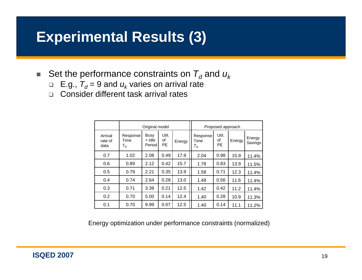#### **Experimental Results (3)**

- $\blacksquare$  Set the performance constraints on  $\mathcal{T}_d$  and  $\boldsymbol{u}_k$ 
	- $\Box$  E.g.,  ${\mathcal T}_d$  = 9 and  $u_k$  varies on arrival rate
	- □ Consider different task arrival rates

|                            | Original model            |                          |                    |        | Proposed approach                                 |                   |        |                   |
|----------------------------|---------------------------|--------------------------|--------------------|--------|---------------------------------------------------|-------------------|--------|-------------------|
| Arrival<br>rate of<br>data | Response<br>Time<br>$T_R$ | Busy<br>+ Idle<br>Period | Util.<br>οf<br>PE. | Energy | Response<br>Time<br>$\tau_{\scriptscriptstyle R}$ | Util.<br>οf<br>PE | Energy | Energy<br>Savings |
| 0.7                        | 1.02                      | 2.08                     | 0.49               | 17.9   | 2.04                                              | 0.98              | 15.9   | 11.4%             |
| 0.6                        | 0.89                      | 2.12                     | 0.42               | 15.7   | 1.78                                              | 0.83              | 13.9   | 11.5%             |
| 0.5                        | 0.79                      | 2.21                     | 0.35               | 13.9   | 1.58                                              | 0.71              | 12.3   | 11.4%             |
| 0.4                        | 0.74                      | 2.64                     | 0.28               | 13.0   | 1.48                                              | 0.56              | 11.6   | 11.4%             |
| 0.3                        | 0.71                      | 3.39                     | 0.21               | 12.5   | 1.42                                              | 0.42              | 11.2   | 11.4%             |
| 0.2                        | 0.70                      | 5.00                     | 0.14               | 12.4   | 1.40                                              | 0.28              | 10.9   | 11.3%             |
| 0.1                        | 0.70                      | 9.99                     | 0.07               | 12.5   | 1.40                                              | 0.14              | 11.1   | 11.2%             |

Energy optimization under performance constraints (normalized)